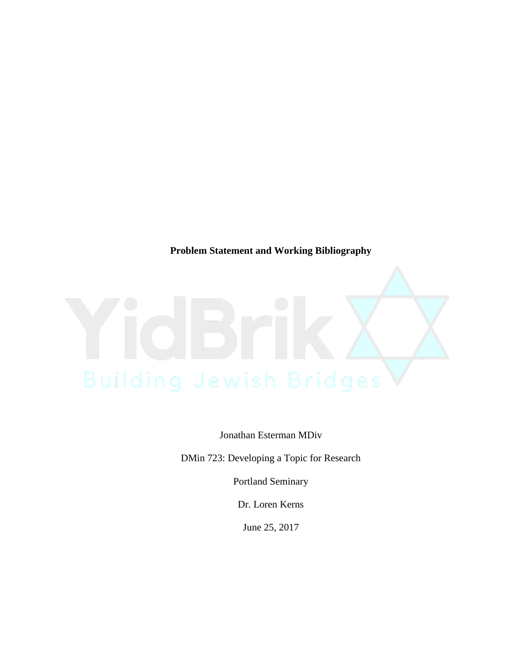**Problem Statement and Working Bibliography**

Jonathan Esterman MDiv

DMin 723: Developing a Topic for Research

Portland Seminary

Dr. Loren Kerns

June 25, 2017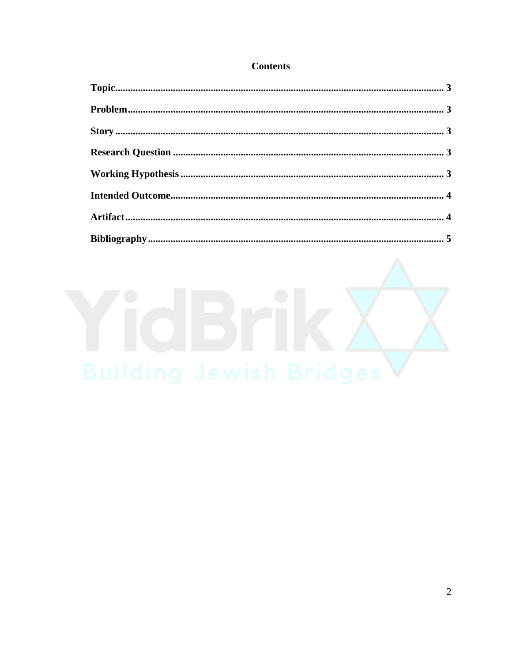# **Contents**

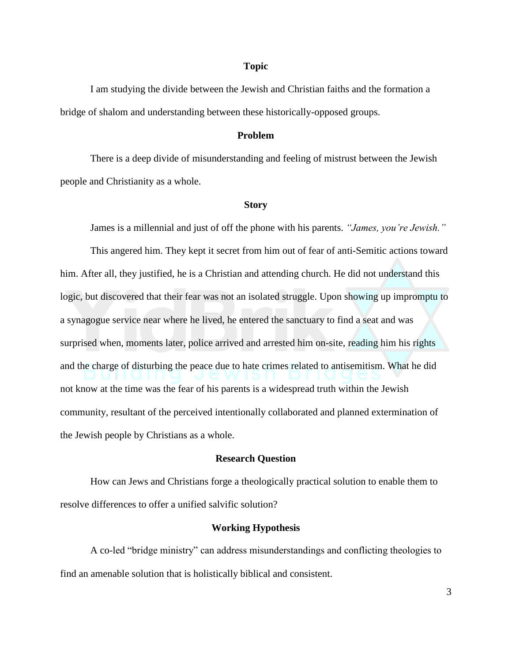#### **Topic**

I am studying the divide between the Jewish and Christian faiths and the formation a bridge of shalom and understanding between these historically-opposed groups.

### **Problem**

There is a deep divide of misunderstanding and feeling of mistrust between the Jewish people and Christianity as a whole.

#### **Story**

James is a millennial and just of off the phone with his parents. *"James, you're Jewish."*

This angered him. They kept it secret from him out of fear of anti-Semitic actions toward him. After all, they justified, he is a Christian and attending church. He did not understand this logic, but discovered that their fear was not an isolated struggle. Upon showing up impromptu to a synagogue service near where he lived, he entered the sanctuary to find a seat and was surprised when, moments later, police arrived and arrested him on-site, reading him his rights and the charge of disturbing the peace due to hate crimes related to antisemitism. What he did not know at the time was the fear of his parents is a widespread truth within the Jewish community, resultant of the perceived intentionally collaborated and planned extermination of the Jewish people by Christians as a whole.

#### **Research Question**

How can Jews and Christians forge a theologically practical solution to enable them to resolve differences to offer a unified salvific solution?

#### **Working Hypothesis**

A co-led "bridge ministry" can address misunderstandings and conflicting theologies to find an amenable solution that is holistically biblical and consistent.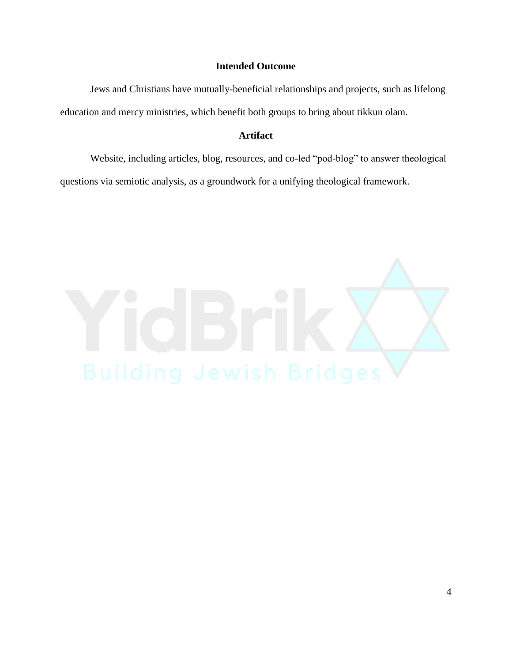## **Intended Outcome**

Jews and Christians have mutually-beneficial relationships and projects, such as lifelong education and mercy ministries, which benefit both groups to bring about tikkun olam.

## **Artifact**

Website, including articles, blog, resources, and co-led "pod-blog" to answer theological questions via semiotic analysis, as a groundwork for a unifying theological framework.

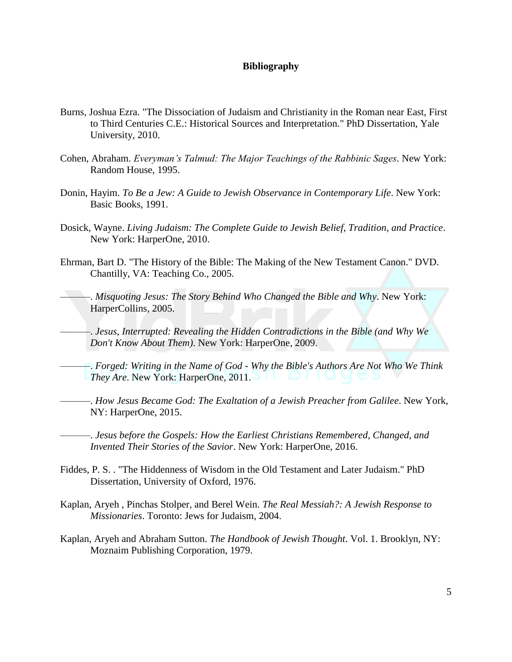## **Bibliography**

- Burns, Joshua Ezra. "The Dissociation of Judaism and Christianity in the Roman near East, First to Third Centuries C.E.: Historical Sources and Interpretation." PhD Dissertation, Yale University, 2010.
- Cohen, Abraham. *Everyman's Talmud: The Major Teachings of the Rabbinic Sages*. New York: Random House, 1995.
- Donin, Hayim. *To Be a Jew: A Guide to Jewish Observance in Contemporary Life*. New York: Basic Books, 1991.
- Dosick, Wayne. *Living Judaism: The Complete Guide to Jewish Belief, Tradition, and Practice*. New York: HarperOne, 2010.
- Ehrman, Bart D. "The History of the Bible: The Making of the New Testament Canon." DVD. Chantilly, VA: Teaching Co., 2005.

-. Misquoting Jesus: The Story Behind Who Changed the Bible and Why. New York: HarperCollins, 2005.

———. *Jesus, Interrupted: Revealing the Hidden Contradictions in the Bible (and Why We Don't Know About Them)*. New York: HarperOne, 2009.

———. *Forged: Writing in the Name of God - Why the Bible's Authors Are Not Who We Think They Are*. New York: HarperOne, 2011.

———. *How Jesus Became God: The Exaltation of a Jewish Preacher from Galilee*. New York, NY: HarperOne, 2015.

———. *Jesus before the Gospels: How the Earliest Christians Remembered, Changed, and Invented Their Stories of the Savior*. New York: HarperOne, 2016.

- Fiddes, P. S. . "The Hiddenness of Wisdom in the Old Testament and Later Judaism." PhD Dissertation, University of Oxford, 1976.
- Kaplan, Aryeh , Pinchas Stolper, and Berel Wein. *The Real Messiah?: A Jewish Response to Missionaries*. Toronto: Jews for Judaism, 2004.
- Kaplan, Aryeh and Abraham Sutton. *The Handbook of Jewish Thought*. Vol. 1. Brooklyn, NY: Moznaim Publishing Corporation, 1979.